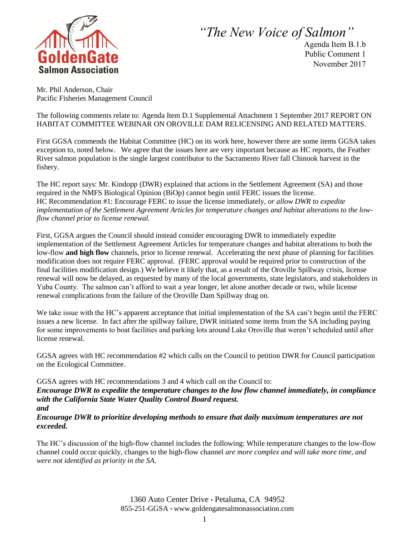

*"The New Voice of Salmon"*

Agenda Item B.1.b Public Comment 1 November 2017

Mr. Phil Anderson, Chair Pacific Fisheries Management Council

The following comments relate to: Agenda Item D.1 Supplemental Attachment 1 September 2017 REPORT ON HABITAT COMMITTEE WEBINAR ON OROVILLE DAM RELICENSING AND RELATED MATTERS.

First GGSA commends the Habitat Committee (HC) on its work here, however there are some items GGSA takes exception to, noted below. We agree that the issues here are very important because as HC reports, the Feather River salmon population is the single largest contributor to the Sacramento River fall Chinook harvest in the fishery.

The HC report says: Mr. Kindopp (DWR) explained that actions in the Settlement Agreement (SA) and those required in the NMFS Biological Opinion (BiOp) cannot begin until FERC issues the license. HC Recommendation #1: Encourage FERC to issue the license immediately, *or allow DWR to expedite implementation of the Settlement Agreement Articles for temperature changes and habitat alterations to the lowflow channel prior to license renewal.* 

First, GGSA argues the Council should instead consider encouraging DWR to immediately expedite implementation of the Settlement Agreement Articles for temperature changes and habitat alterations to both the low-flow **and high flow** channels, prior to license renewal. Accelerating the next phase of planning for facilities modification does not require FERC approval. (FERC approval would be required prior to construction of the final facilities modification design.) We believe it likely that, as a result of the Oroville Spillway crisis, license renewal will now be delayed, as requested by many of the local governments, state legislators, and stakeholders in Yuba County. The salmon can't afford to wait a year longer, let alone another decade or two, while license renewal complications from the failure of the Oroville Dam Spillway drag on.

We take issue with the HC's apparent acceptance that initial implementation of the SA can't begin until the FERC issues a new license. In fact after the spillway failure, DWR initiated some items from the SA including paying for some improvements to boat facilities and parking lots around Lake Oroville that weren't scheduled until after license renewal.

GGSA agrees with HC recommendation #2 which calls on the Council to petition DWR for Council participation on the Ecological Committee.

GGSA agrees with HC recommendations 3 and 4 which call on the Council to:

*Encourage DWR to expedite the temperature changes to the low flow channel immediately, in compliance with the California State Water Quality Control Board request.* 

*and* 

*Encourage DWR to prioritize developing methods to ensure that daily maximum temperatures are not exceeded.* 

The HC's discussion of the high-flow channel includes the following: While temperature changes to the low-flow channel could occur quickly, changes to the high-flow channel *are more complex and will take more time, and were not identified as priority in the SA.* 

> 1360 Auto Center Drive • Petaluma, CA 94952 855-251-GGSA • www.goldengatesalmonassociation.com